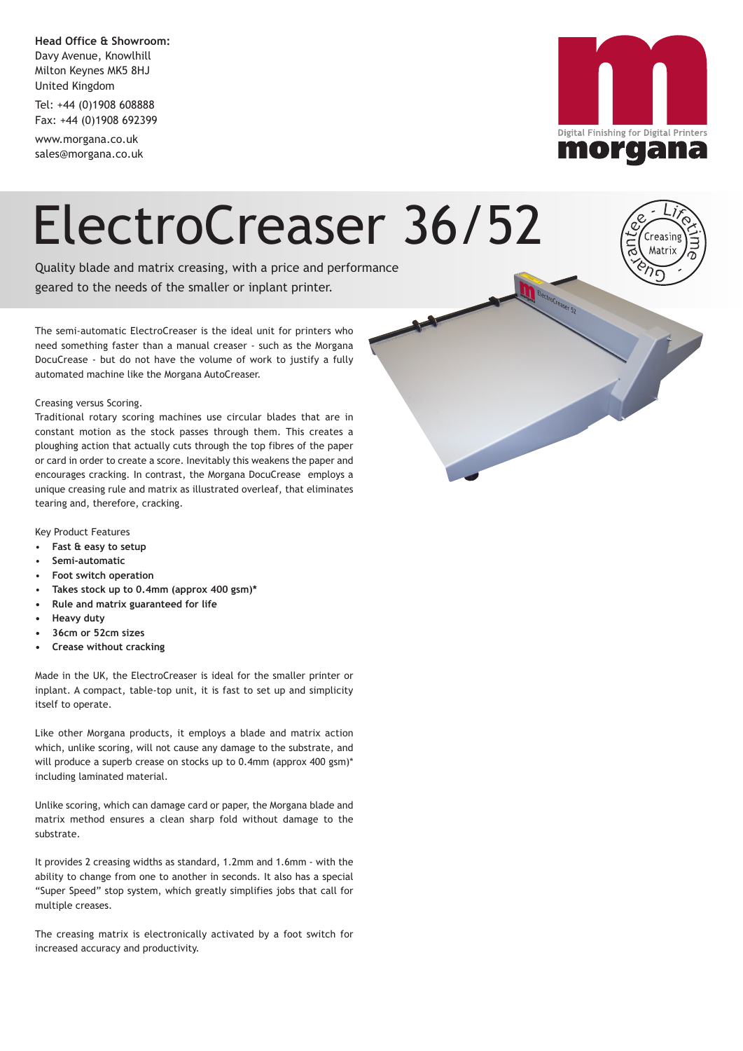**Head Office & Showroom:** Davy Avenue, Knowlhill Milton Keynes MK5 8HJ United Kingdom

Tel: +44 (0)1908 608888 Fax: +44 (0)1908 692399

www.morgana.co.uk sales@morgana.co.uk



## ElectroCreaser 36/52

Quality blade and matrix creasing, with a price and performance geared to the needs of the smaller or inplant printer.

The semi-automatic ElectroCreaser is the ideal unit for printers who need something faster than a manual creaser - such as the Morgana DocuCrease - but do not have the volume of work to justify a fully automated machine like the Morgana AutoCreaser.

#### Creasing versus Scoring.

Traditional rotary scoring machines use circular blades that are in constant motion as the stock passes through them. This creates a ploughing action that actually cuts through the top fibres of the paper or card in order to create a score. Inevitably this weakens the paper and encourages cracking. In contrast, the Morgana DocuCrease employs a unique creasing rule and matrix as illustrated overleaf, that eliminates tearing and, therefore, cracking.

Key Product Features

- **Fast & easy to setup**
- **Semi-automatic**
- **Foot switch operation**
- **Takes stock up to 0.4mm (approx 400 gsm)\***
- **Rule and matrix guaranteed for life**
- **Heavy duty**
- **36cm or 52cm sizes**
- **Crease without cracking**

Made in the UK, the ElectroCreaser is ideal for the smaller printer or inplant. A compact, table-top unit, it is fast to set up and simplicity itself to operate.

Like other Morgana products, it employs a blade and matrix action which, unlike scoring, will not cause any damage to the substrate, and will produce a superb crease on stocks up to 0.4mm (approx 400 gsm)\* including laminated material.

Unlike scoring, which can damage card or paper, the Morgana blade and matrix method ensures a clean sharp fold without damage to the substrate.

It provides 2 creasing widths as standard, 1.2mm and 1.6mm - with the ability to change from one to another in seconds. It also has a special "Super Speed" stop system, which greatly simplifies jobs that call for multiple creases.

The creasing matrix is electronically activated by a foot switch for increased accuracy and productivity.